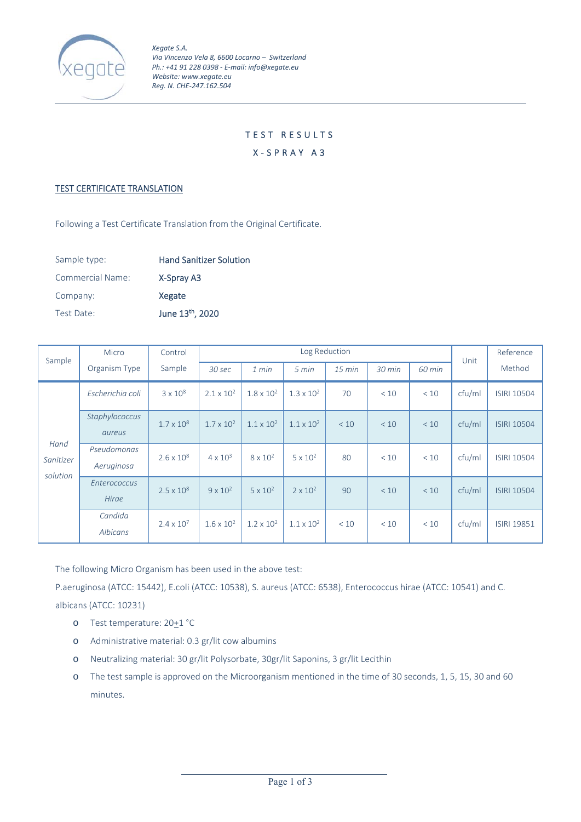

## TEST RESULTS

X‐SPRAY A3

## **TEST CERTIFICATE TRANSLATION**

Following a Test Certificate Translation from the Original Certificate.

| Sample type:     | <b>Hand Sanitizer Solution</b> |
|------------------|--------------------------------|
| Commercial Name: | X-Spray A3                     |
| Company:         | Xegate                         |
| Test Date:       | June 13 <sup>th</sup> , 2020   |

| Sample                        | Micro                        | Control             | Log Reduction       |                     |                     |          |        | Unit   | Reference |                    |
|-------------------------------|------------------------------|---------------------|---------------------|---------------------|---------------------|----------|--------|--------|-----------|--------------------|
|                               | Organism Type                | Sample              | 30 sec              | 1 min               | 5 min               | $15$ min | 30 min | 60 min |           | Method             |
| Hand<br>Sanitizer<br>solution | Escherichia coli             | $3 \times 10^8$     | $2.1 \times 10^{2}$ | $1.8 \times 10^{2}$ | $1.3 \times 10^{2}$ | 70       | < 10   | < 10   | cfu/ml    | <b>ISIRI 10504</b> |
|                               | Staphylococcus<br>aureus     | $1.7 \times 10^8$   | $1.7 \times 10^{2}$ | $1.1 \times 10^{2}$ | $1.1 \times 10^{2}$ | < 10     | < 10   | < 10   | cfu/ml    | <b>ISIRI 10504</b> |
|                               | Pseudomonas<br>Aeruginosa    | $2.6 \times 10^8$   | $4 \times 10^3$     | $8 \times 10^{2}$   | $5 \times 10^2$     | 80       | < 10   | < 10   | cfu/ml    | <b>ISIRI 10504</b> |
|                               | <b>Enterococcus</b><br>Hirae | $2.5 \times 10^8$   | $9 \times 10^{2}$   | $5 \times 10^{2}$   | $2 \times 10^{2}$   | 90       | < 10   | < 10   | cfu/ml    | <b>ISIRI 10504</b> |
|                               | Candida<br>Albicans          | $2.4 \times 10^{7}$ | $1.6 \times 10^{2}$ | $1.2 \times 10^{2}$ | $1.1 \times 10^{2}$ | < 10     | < 10   | < 10   | cfu/ml    | <b>ISIRI 19851</b> |

The following Micro Organism has been used in the above test:

P.aeruginosa (ATCC: 15442), E.coli (ATCC: 10538), S. aureus (ATCC: 6538), Enterococcus hirae (ATCC: 10541) and C. albicans (ATCC: 10231)

- o Test temperature:  $20+1$  °C
- o Administrative material: 0.3 gr/lit cow albumins
- o Neutralizing material: 30 gr/lit Polysorbate, 30gr/lit Saponins, 3 gr/lit Lecithin
- o The test sample is approved on the Microorganism mentioned in the time of 30 seconds, 1, 5, 15, 30 and 60 minutes.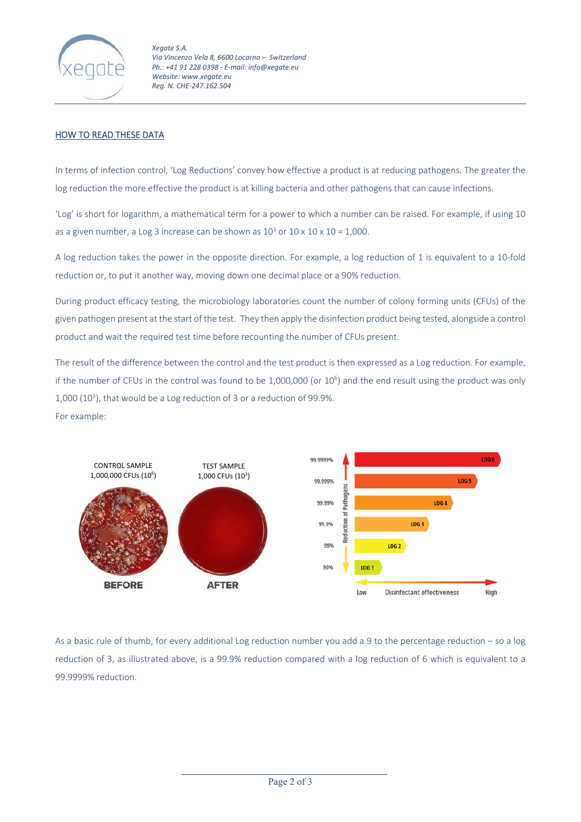

*Xegate S.A. Via Vincenzo Vela 8, 6600 Locarno – Switzerland Ph.: +41 91 228 0398 ‐ E‐mail: info@xegate.eu Website: www.xegate.eu Reg. N. CHE‐247.162.504* 

## HOW TO READ THESE DATA

In terms of infection control, 'Log Reductions' convey how effective a product is at reducing pathogens. The greater the log reduction the more effective the product is at killing bacteria and other pathogens that can cause infections.

'Log' is short for logarithm, a mathematical term for a power to which a number can be raised. For example, if using 10 as a given number, a Log 3 increase can be shown as  $10^3$  or  $10 \times 10 \times 10 = 1,000$ .

A log reduction takes the power in the opposite direction. For example, a log reduction of 1 is equivalent to a 10‐fold reduction or, to put it another way, moving down one decimal place or a 90% reduction.

During product efficacy testing, the microbiology laboratories count the number of colony forming units (CFUs) of the given pathogen present at the start of the test. They then apply the disinfection product being tested, alongside a control product and wait the required test time before recounting the number of CFUs present.

The result of the difference between the control and the test product is then expressed as a Log reduction. For example, if the number of CFUs in the control was found to be 1,000,000 (or  $10^6$ ) and the end result using the product was only  $1,000$  ( $10<sup>3</sup>$ ), that would be a Log reduction of 3 or a reduction of 99.9%.

For example:



As a basic rule of thumb, for every additional Log reduction number you add a 9 to the percentage reduction – so a log reduction of 3, as illustrated above, is a 99.9% reduction compared with a log reduction of 6 which is equivalent to a 99.9999% reduction.